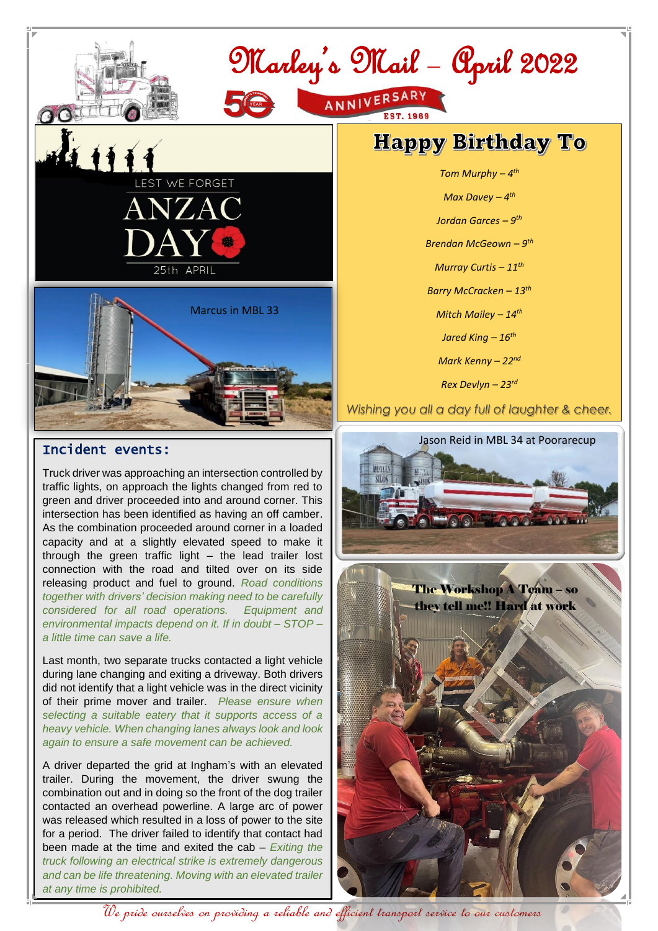

#### Incident events:

Truck driver was approaching an intersection controlled by traffic lights, on approach the lights changed from red to green and driver proceeded into and around corner. This intersection has been identified as having an off camber. As the combination proceeded around corner in a loaded capacity and at a slightly elevated speed to make it through the green traffic light – the lead trailer lost connection with the road and tilted over on its side releasing product and fuel to ground. *Road conditions together with drivers' decision making need to be carefully considered for all road operations. Equipment and environmental impacts depend on it. If in doubt – STOP – a little time can save a life.*

 of their prime mover and trailer. *Please ensure when*  Last month, two separate trucks contacted a light vehicle during lane changing and exiting a driveway. Both drivers did not identify that a light vehicle was in the direct vicinity *selecting a suitable eatery that it supports access of a heavy vehicle. When changing lanes always look and look again to ensure a safe movement can be achieved.*

A driver departed the grid at Ingham's with an elevated trailer. During the movement, the driver swung the combination out and in doing so the front of the dog trailer contacted an overhead powerline. A large arc of power was released which resulted in a loss of power to the site for a period. The driver failed to identify that contact had been made at the time and exited the cab – *Exiting the truck following an electrical strike is extremely dangerous and can be life threatening. Moving with an elevated trailer at any time is prohibited.* 

# **Happy Birthday To**

*Tom Murphy – 4 th Max Davey – 4 th Jordan Garces – 9 th Brendan McGeown – 9 th Murray Curtis – 11th Barry McCracken – 13th Mitch Mailey – 14th Jared King – 16th Mark Kenny – 22nd Rex Devlyn – 23rd*

*Wishing you all a day full of laughter & cheer.*



We pride ourselves on providing a reliable and efficient transport service to our customers